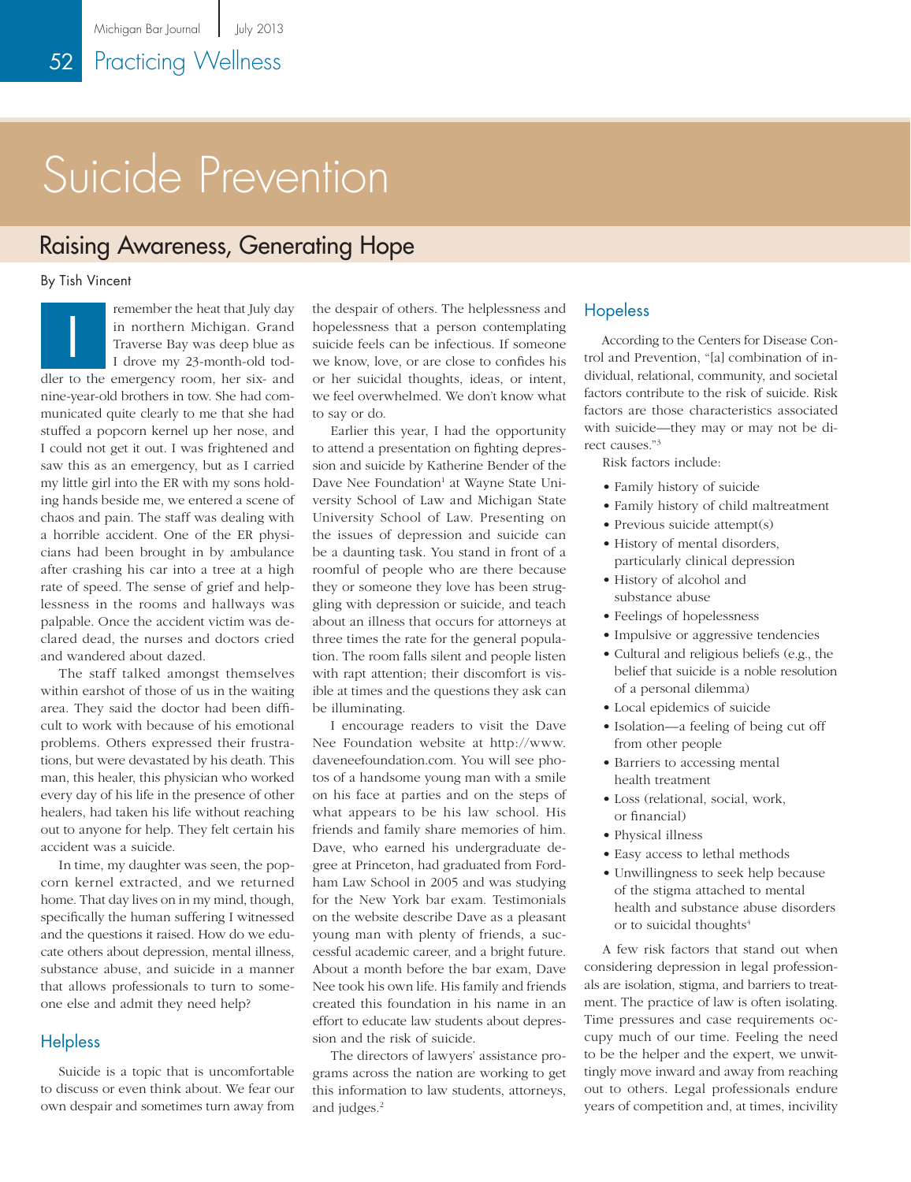# Suicide Prevention

### Raising Awareness, Generating Hope

By Tish Vincent

remember the heat that July day in northern Michigan. Grand Traverse Bay was deep blue as I drove my 23-month-old toddler to the emergency room, her six- and nine-year-old brothers in tow. She had communicated quite clearly to me that she had stuffed a popcorn kernel up her nose, and I could not get it out. I was frightened and saw this as an emergency, but as I carried my little girl into the ER with my sons holding hands beside me, we entered a scene of chaos and pain. The staff was dealing with a horrible accident. One of the ER physicians had been brought in by ambulance after crashing his car into a tree at a high rate of speed. The sense of grief and helplessness in the rooms and hallways was palpable. Once the accident victim was declared dead, the nurses and doctors cried and wandered about dazed. I

The staff talked amongst themselves within earshot of those of us in the waiting area. They said the doctor had been difficult to work with because of his emotional problems. Others expressed their frustrations, but were devastated by his death. This man, this healer, this physician who worked every day of his life in the presence of other healers, had taken his life without reaching out to anyone for help. They felt certain his accident was a suicide.

In time, my daughter was seen, the popcorn kernel extracted, and we returned home. That day lives on in my mind, though, specifically the human suffering I witnessed and the questions it raised. How do we educate others about depression, mental illness, substance abuse, and suicide in a manner that allows professionals to turn to someone else and admit they need help?

### **Helpless**

Suicide is a topic that is uncomfortable to discuss or even think about. We fear our own despair and sometimes turn away from the despair of others. The helplessness and hopelessness that a person contemplating suicide feels can be infectious. If someone we know, love, or are close to confides his or her suicidal thoughts, ideas, or intent, we feel overwhelmed. We don't know what to say or do.

Earlier this year, I had the opportunity to attend a presentation on fighting depression and suicide by Katherine Bender of the Dave Nee Foundation<sup>1</sup> at Wayne State University School of Law and Michigan State University School of Law. Presenting on the issues of depression and suicide can be a daunting task. You stand in front of a roomful of people who are there because they or someone they love has been struggling with depression or suicide, and teach about an illness that occurs for attorneys at three times the rate for the general population. The room falls silent and people listen with rapt attention; their discomfort is visible at times and the questions they ask can be illuminating.

I encourage readers to visit the Dave Nee Foundation website at [http://www.](http://www.daveneefoundation.com) [daveneefoundation.com](http://www.daveneefoundation.com). You will see photos of a handsome young man with a smile on his face at parties and on the steps of what appears to be his law school. His friends and family share memories of him. Dave, who earned his undergraduate degree at Princeton, had graduated from Fordham Law School in 2005 and was studying for the New York bar exam. Testimonials on the website describe Dave as a pleasant young man with plenty of friends, a successful academic career, and a bright future. About a month before the bar exam, Dave Nee took his own life. His family and friends created this foundation in his name in an effort to educate law students about depression and the risk of suicide.

The directors of lawyers' assistance programs across the nation are working to get this information to law students, attorneys, and judges.<sup>2</sup>

### Hopeless

According to the Centers for Disease Control and Prevention, "[a] combination of individual, relational, community, and societal factors contribute to the risk of suicide. Risk factors are those characteristics associated with suicide—they may or may not be direct causes."3

Risk factors include:

- Family history of suicide
- Family history of child maltreatment
- Previous suicide attempt(s)
- History of mental disorders, particularly clinical depression
- History of alcohol and substance abuse
- Feelings of hopelessness
- Impulsive or aggressive tendencies
- Cultural and religious beliefs (e.g., the belief that suicide is a noble resolution of a personal dilemma)
- Local epidemics of suicide
- Isolation—a feeling of being cut off from other people
- Barriers to accessing mental health treatment
- Loss (relational, social, work, or financial)
- Physical illness
- Easy access to lethal methods
- Unwillingness to seek help because of the stigma attached to mental health and substance abuse disorders or to suicidal thoughts $4$

A few risk factors that stand out when considering depression in legal professionals are isolation, stigma, and barriers to treatment. The practice of law is often isolating. Time pressures and case requirements occupy much of our time. Feeling the need to be the helper and the expert, we unwittingly move inward and away from reaching out to others. Legal professionals endure years of competition and, at times, incivility